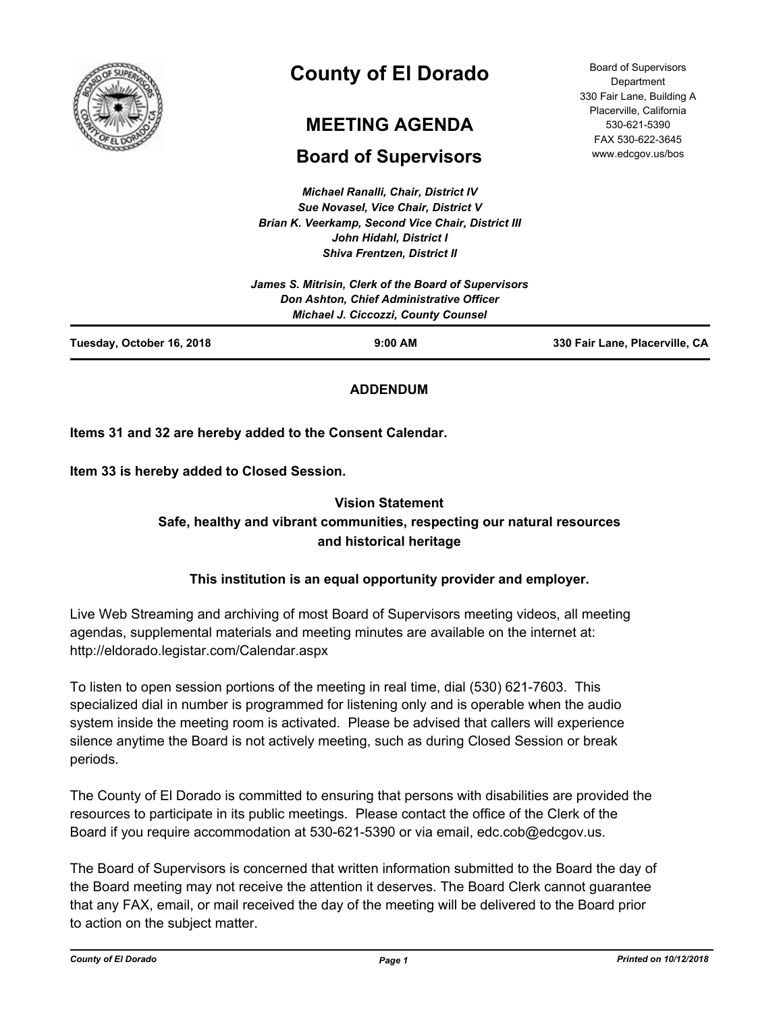

# **County of El Dorado**

# **MEETING AGENDA**

# **Board of Supervisors**

*Michael Ranalli, Chair, District IV Sue Novasel, Vice Chair, District V Brian K. Veerkamp, Second Vice Chair, District III John Hidahl, District I Shiva Frentzen, District II*

Board of Supervisors **Department** 330 Fair Lane, Building A Placerville, California 530-621-5390 FAX 530-622-3645 www.edcgov.us/bos

|                           | Don Ashton, Chief Administrative Officer<br><b>Michael J. Ciccozzi, County Counsel</b> |                                |
|---------------------------|----------------------------------------------------------------------------------------|--------------------------------|
| Tuesday, October 16, 2018 | $9:00$ AM                                                                              | 330 Fair Lane, Placerville, CA |

# **ADDENDUM**

**Items 31 and 32 are hereby added to the Consent Calendar.**

**Item 33 is hereby added to Closed Session.**

# **Vision Statement Safe, healthy and vibrant communities, respecting our natural resources and historical heritage**

# **This institution is an equal opportunity provider and employer.**

Live Web Streaming and archiving of most Board of Supervisors meeting videos, all meeting agendas, supplemental materials and meeting minutes are available on the internet at: http://eldorado.legistar.com/Calendar.aspx

To listen to open session portions of the meeting in real time, dial (530) 621-7603. This specialized dial in number is programmed for listening only and is operable when the audio system inside the meeting room is activated. Please be advised that callers will experience silence anytime the Board is not actively meeting, such as during Closed Session or break periods.

The County of El Dorado is committed to ensuring that persons with disabilities are provided the resources to participate in its public meetings. Please contact the office of the Clerk of the Board if you require accommodation at 530-621-5390 or via email, edc.cob@edcgov.us.

The Board of Supervisors is concerned that written information submitted to the Board the day of the Board meeting may not receive the attention it deserves. The Board Clerk cannot guarantee that any FAX, email, or mail received the day of the meeting will be delivered to the Board prior to action on the subject matter.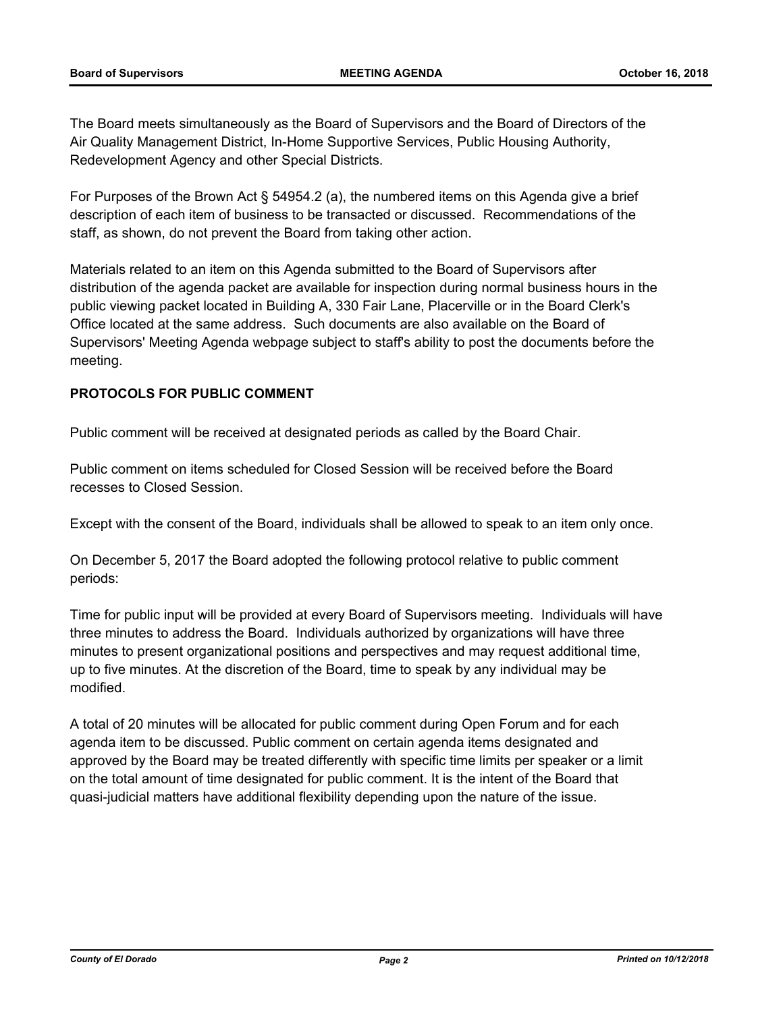The Board meets simultaneously as the Board of Supervisors and the Board of Directors of the Air Quality Management District, In-Home Supportive Services, Public Housing Authority, Redevelopment Agency and other Special Districts.

For Purposes of the Brown Act § 54954.2 (a), the numbered items on this Agenda give a brief description of each item of business to be transacted or discussed. Recommendations of the staff, as shown, do not prevent the Board from taking other action.

Materials related to an item on this Agenda submitted to the Board of Supervisors after distribution of the agenda packet are available for inspection during normal business hours in the public viewing packet located in Building A, 330 Fair Lane, Placerville or in the Board Clerk's Office located at the same address. Such documents are also available on the Board of Supervisors' Meeting Agenda webpage subject to staff's ability to post the documents before the meeting.

## **PROTOCOLS FOR PUBLIC COMMENT**

Public comment will be received at designated periods as called by the Board Chair.

Public comment on items scheduled for Closed Session will be received before the Board recesses to Closed Session.

Except with the consent of the Board, individuals shall be allowed to speak to an item only once.

On December 5, 2017 the Board adopted the following protocol relative to public comment periods:

Time for public input will be provided at every Board of Supervisors meeting. Individuals will have three minutes to address the Board. Individuals authorized by organizations will have three minutes to present organizational positions and perspectives and may request additional time, up to five minutes. At the discretion of the Board, time to speak by any individual may be modified.

A total of 20 minutes will be allocated for public comment during Open Forum and for each agenda item to be discussed. Public comment on certain agenda items designated and approved by the Board may be treated differently with specific time limits per speaker or a limit on the total amount of time designated for public comment. It is the intent of the Board that quasi-judicial matters have additional flexibility depending upon the nature of the issue.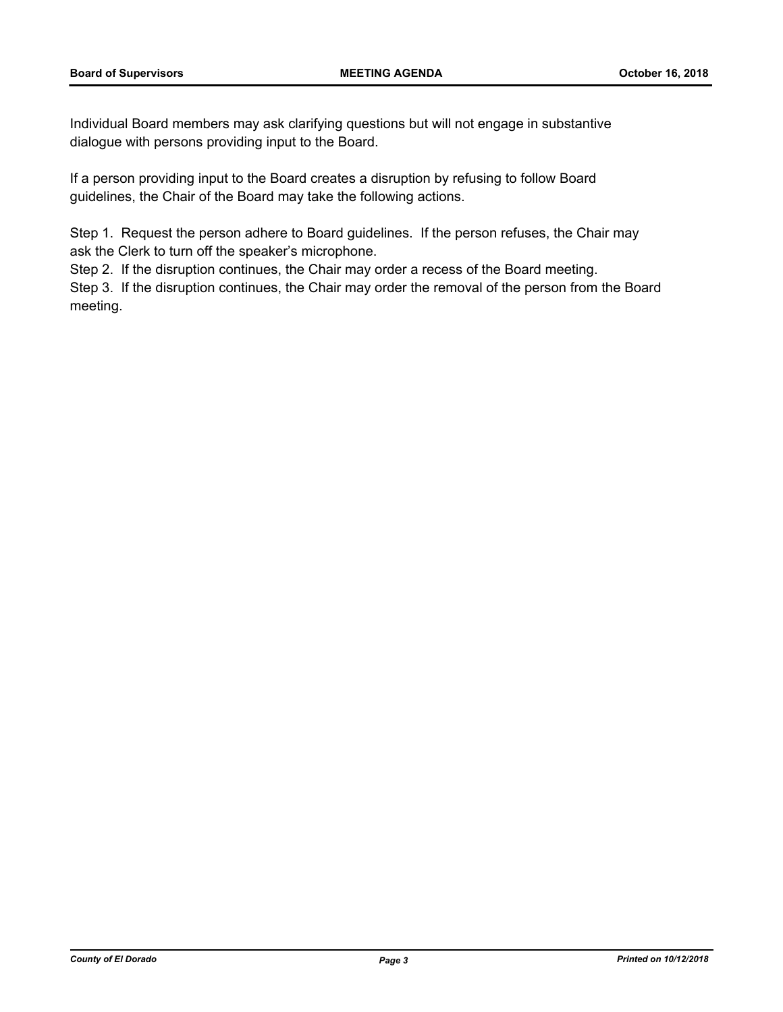Individual Board members may ask clarifying questions but will not engage in substantive dialogue with persons providing input to the Board.

If a person providing input to the Board creates a disruption by refusing to follow Board guidelines, the Chair of the Board may take the following actions.

Step 1. Request the person adhere to Board guidelines. If the person refuses, the Chair may ask the Clerk to turn off the speaker's microphone.

Step 2. If the disruption continues, the Chair may order a recess of the Board meeting.

Step 3. If the disruption continues, the Chair may order the removal of the person from the Board meeting.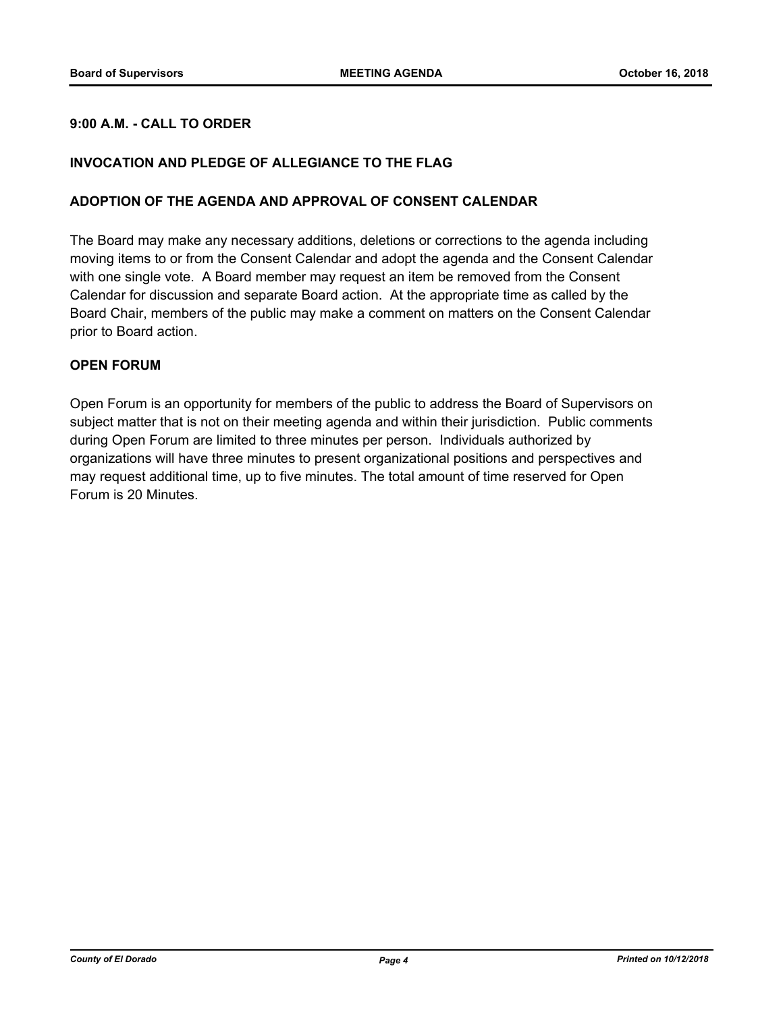## **9:00 A.M. - CALL TO ORDER**

#### **INVOCATION AND PLEDGE OF ALLEGIANCE TO THE FLAG**

#### **ADOPTION OF THE AGENDA AND APPROVAL OF CONSENT CALENDAR**

The Board may make any necessary additions, deletions or corrections to the agenda including moving items to or from the Consent Calendar and adopt the agenda and the Consent Calendar with one single vote. A Board member may request an item be removed from the Consent Calendar for discussion and separate Board action. At the appropriate time as called by the Board Chair, members of the public may make a comment on matters on the Consent Calendar prior to Board action.

#### **OPEN FORUM**

Open Forum is an opportunity for members of the public to address the Board of Supervisors on subject matter that is not on their meeting agenda and within their jurisdiction. Public comments during Open Forum are limited to three minutes per person. Individuals authorized by organizations will have three minutes to present organizational positions and perspectives and may request additional time, up to five minutes. The total amount of time reserved for Open Forum is 20 Minutes.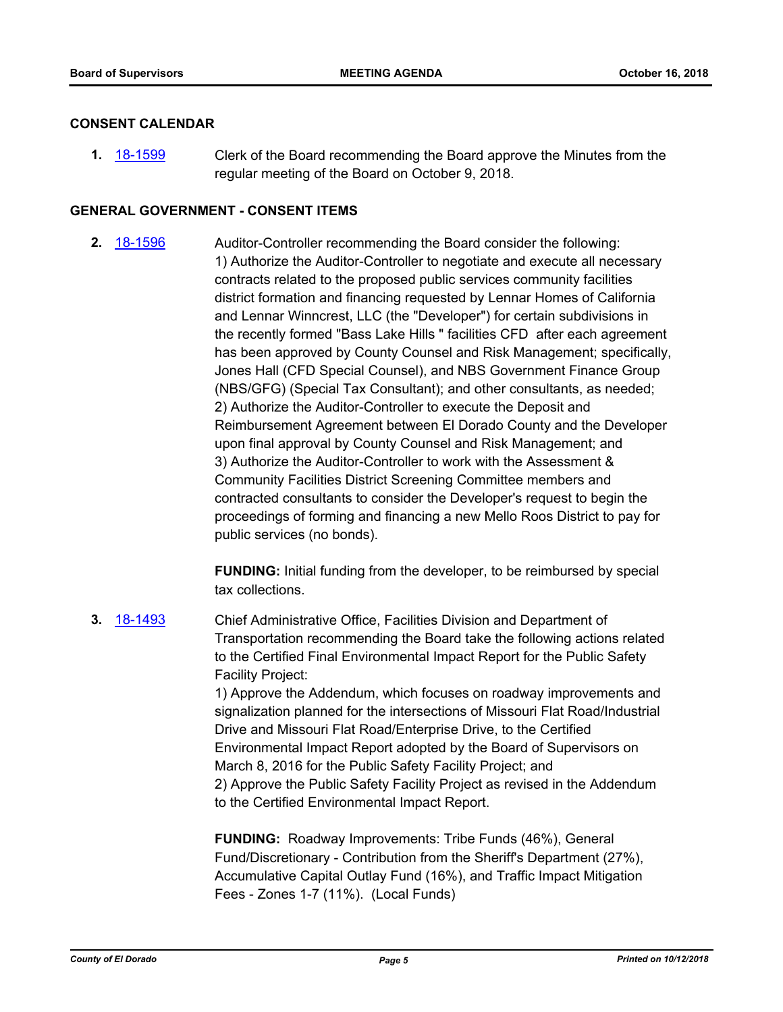#### **CONSENT CALENDAR**

**1.** [18-1599](http://eldorado.legistar.com/gateway.aspx?m=l&id=/matter.aspx?key=24950) Clerk of the Board recommending the Board approve the Minutes from the regular meeting of the Board on October 9, 2018.

#### **GENERAL GOVERNMENT - CONSENT ITEMS**

**2.** [18-1596](http://eldorado.legistar.com/gateway.aspx?m=l&id=/matter.aspx?key=24947) Auditor-Controller recommending the Board consider the following: 1) Authorize the Auditor-Controller to negotiate and execute all necessary contracts related to the proposed public services community facilities district formation and financing requested by Lennar Homes of California and Lennar Winncrest, LLC (the "Developer") for certain subdivisions in the recently formed "Bass Lake Hills " facilities CFD after each agreement has been approved by County Counsel and Risk Management; specifically, Jones Hall (CFD Special Counsel), and NBS Government Finance Group (NBS/GFG) (Special Tax Consultant); and other consultants, as needed; 2) Authorize the Auditor-Controller to execute the Deposit and Reimbursement Agreement between El Dorado County and the Developer upon final approval by County Counsel and Risk Management; and 3) Authorize the Auditor-Controller to work with the Assessment & Community Facilities District Screening Committee members and contracted consultants to consider the Developer's request to begin the proceedings of forming and financing a new Mello Roos District to pay for public services (no bonds).

> **FUNDING:** Initial funding from the developer, to be reimbursed by special tax collections.

**3.** [18-1493](http://eldorado.legistar.com/gateway.aspx?m=l&id=/matter.aspx?key=24844) Chief Administrative Office, Facilities Division and Department of Transportation recommending the Board take the following actions related to the Certified Final Environmental Impact Report for the Public Safety Facility Project:

1) Approve the Addendum, which focuses on roadway improvements and signalization planned for the intersections of Missouri Flat Road/Industrial Drive and Missouri Flat Road/Enterprise Drive, to the Certified Environmental Impact Report adopted by the Board of Supervisors on March 8, 2016 for the Public Safety Facility Project; and 2) Approve the Public Safety Facility Project as revised in the Addendum to the Certified Environmental Impact Report.

**FUNDING:** Roadway Improvements: Tribe Funds (46%), General Fund/Discretionary - Contribution from the Sheriff's Department (27%), Accumulative Capital Outlay Fund (16%), and Traffic Impact Mitigation Fees - Zones 1-7 (11%). (Local Funds)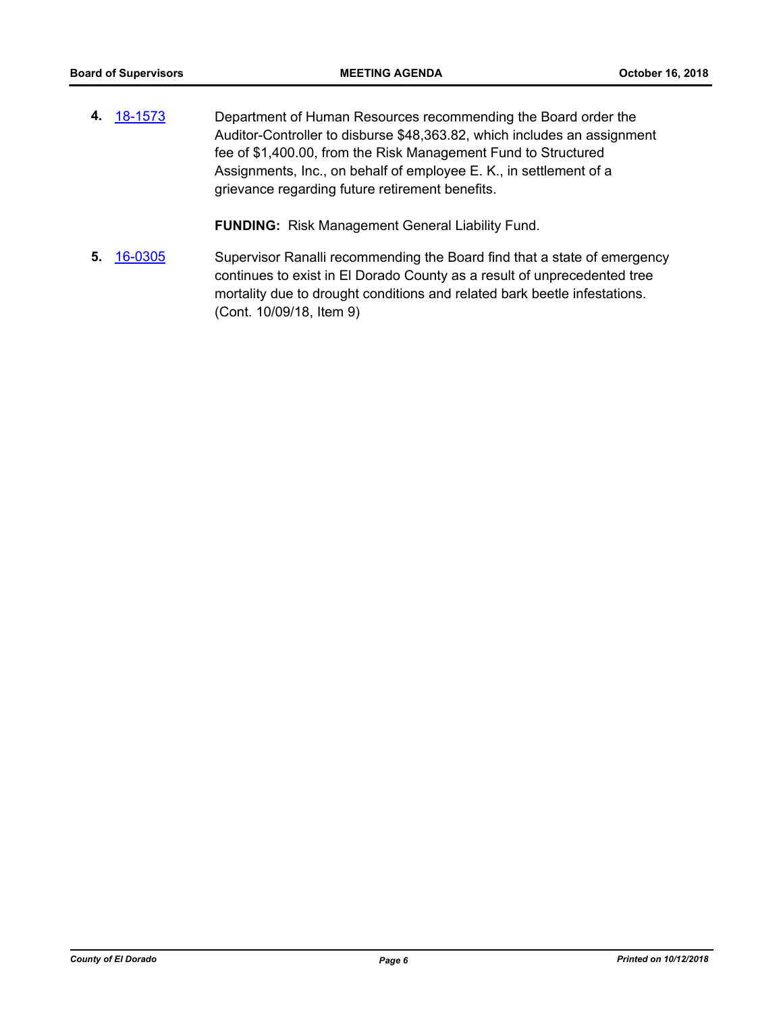**4.** [18-1573](http://eldorado.legistar.com/gateway.aspx?m=l&id=/matter.aspx?key=24924) Department of Human Resources recommending the Board order the Auditor-Controller to disburse \$48,363.82, which includes an assignment fee of \$1,400.00, from the Risk Management Fund to Structured Assignments, Inc., on behalf of employee E. K., in settlement of a grievance regarding future retirement benefits.

**FUNDING:** Risk Management General Liability Fund.

**5.** [16-0305](http://eldorado.legistar.com/gateway.aspx?m=l&id=/matter.aspx?key=20961) Supervisor Ranalli recommending the Board find that a state of emergency continues to exist in El Dorado County as a result of unprecedented tree mortality due to drought conditions and related bark beetle infestations. (Cont. 10/09/18, Item 9)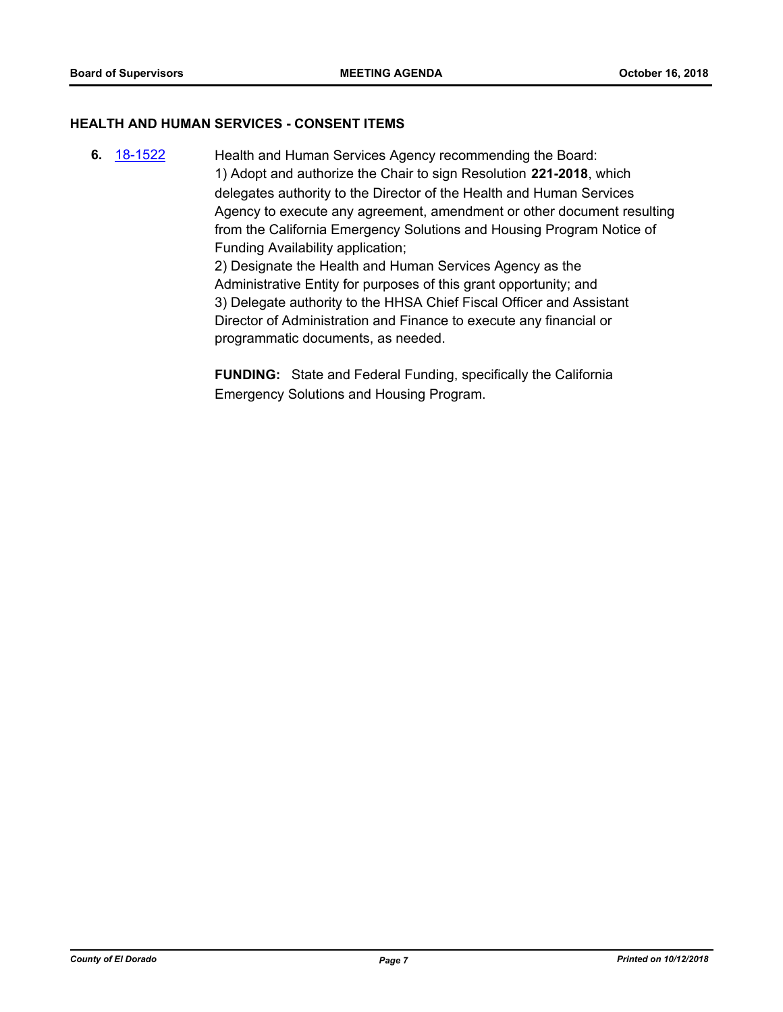#### **HEALTH AND HUMAN SERVICES - CONSENT ITEMS**

**6.** [18-1522](http://eldorado.legistar.com/gateway.aspx?m=l&id=/matter.aspx?key=24873) Health and Human Services Agency recommending the Board: 1) Adopt and authorize the Chair to sign Resolution **221-2018**, which delegates authority to the Director of the Health and Human Services Agency to execute any agreement, amendment or other document resulting from the California Emergency Solutions and Housing Program Notice of Funding Availability application; 2) Designate the Health and Human Services Agency as the

Administrative Entity for purposes of this grant opportunity; and 3) Delegate authority to the HHSA Chief Fiscal Officer and Assistant Director of Administration and Finance to execute any financial or programmatic documents, as needed.

**FUNDING:** State and Federal Funding, specifically the California Emergency Solutions and Housing Program.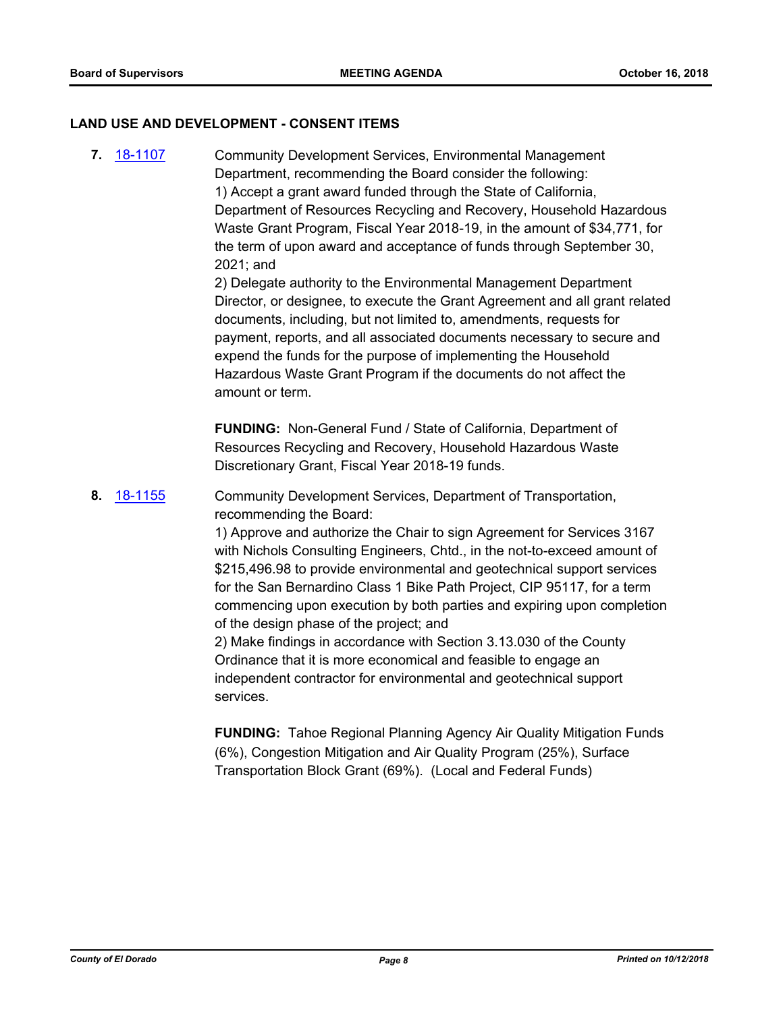#### **LAND USE AND DEVELOPMENT - CONSENT ITEMS**

**7.** [18-1107](http://eldorado.legistar.com/gateway.aspx?m=l&id=/matter.aspx?key=24457) Community Development Services, Environmental Management Department, recommending the Board consider the following: 1) Accept a grant award funded through the State of California, Department of Resources Recycling and Recovery, Household Hazardous Waste Grant Program, Fiscal Year 2018-19, in the amount of \$34,771, for the term of upon award and acceptance of funds through September 30, 2021; and

2) Delegate authority to the Environmental Management Department Director, or designee, to execute the Grant Agreement and all grant related documents, including, but not limited to, amendments, requests for payment, reports, and all associated documents necessary to secure and expend the funds for the purpose of implementing the Household Hazardous Waste Grant Program if the documents do not affect the amount or term.

**FUNDING:** Non-General Fund / State of California, Department of Resources Recycling and Recovery, Household Hazardous Waste Discretionary Grant, Fiscal Year 2018-19 funds.

**8.** [18-1155](http://eldorado.legistar.com/gateway.aspx?m=l&id=/matter.aspx?key=24505) Community Development Services, Department of Transportation, recommending the Board:

> 1) Approve and authorize the Chair to sign Agreement for Services 3167 with Nichols Consulting Engineers, Chtd., in the not-to-exceed amount of \$215,496.98 to provide environmental and geotechnical support services for the San Bernardino Class 1 Bike Path Project, CIP 95117, for a term commencing upon execution by both parties and expiring upon completion of the design phase of the project; and

2) Make findings in accordance with Section 3.13.030 of the County Ordinance that it is more economical and feasible to engage an independent contractor for environmental and geotechnical support services.

**FUNDING:** Tahoe Regional Planning Agency Air Quality Mitigation Funds (6%), Congestion Mitigation and Air Quality Program (25%), Surface Transportation Block Grant (69%). (Local and Federal Funds)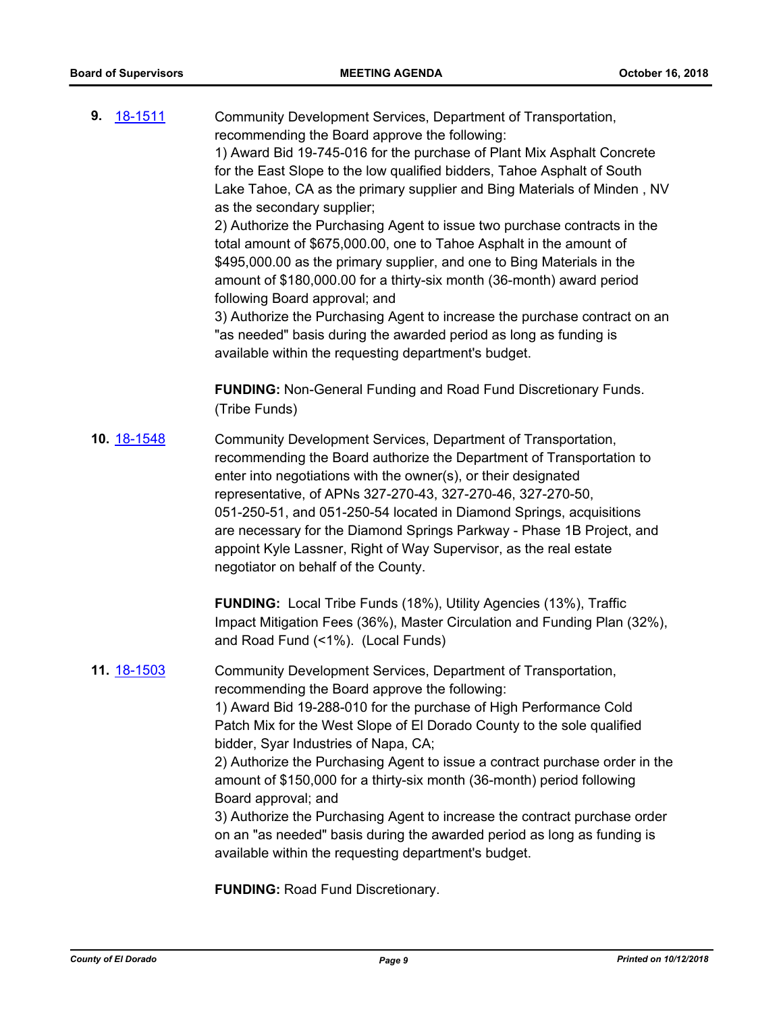| 18-1511<br>9. | Community Development Services, Department of Transportation,<br>recommending the Board approve the following:<br>1) Award Bid 19-745-016 for the purchase of Plant Mix Asphalt Concrete<br>for the East Slope to the low qualified bidders, Tahoe Asphalt of South<br>Lake Tahoe, CA as the primary supplier and Bing Materials of Minden, NV<br>as the secondary supplier;<br>2) Authorize the Purchasing Agent to issue two purchase contracts in the<br>total amount of \$675,000.00, one to Tahoe Asphalt in the amount of<br>\$495,000.00 as the primary supplier, and one to Bing Materials in the<br>amount of \$180,000.00 for a thirty-six month (36-month) award period<br>following Board approval; and<br>3) Authorize the Purchasing Agent to increase the purchase contract on an<br>"as needed" basis during the awarded period as long as funding is<br>available within the requesting department's budget. |
|---------------|-------------------------------------------------------------------------------------------------------------------------------------------------------------------------------------------------------------------------------------------------------------------------------------------------------------------------------------------------------------------------------------------------------------------------------------------------------------------------------------------------------------------------------------------------------------------------------------------------------------------------------------------------------------------------------------------------------------------------------------------------------------------------------------------------------------------------------------------------------------------------------------------------------------------------------|
|               | <b>FUNDING: Non-General Funding and Road Fund Discretionary Funds.</b><br>(Tribe Funds)                                                                                                                                                                                                                                                                                                                                                                                                                                                                                                                                                                                                                                                                                                                                                                                                                                       |
| 10. 18-1548   | Community Development Services, Department of Transportation,<br>recommending the Board authorize the Department of Transportation to<br>enter into negotiations with the owner(s), or their designated<br>representative, of APNs 327-270-43, 327-270-46, 327-270-50,<br>051-250-51, and 051-250-54 located in Diamond Springs, acquisitions<br>are necessary for the Diamond Springs Parkway - Phase 1B Project, and<br>appoint Kyle Lassner, Right of Way Supervisor, as the real estate<br>negotiator on behalf of the County.                                                                                                                                                                                                                                                                                                                                                                                            |
|               | <b>FUNDING:</b> Local Tribe Funds (18%), Utility Agencies (13%), Traffic<br>Impact Mitigation Fees (36%), Master Circulation and Funding Plan (32%),<br>and Road Fund (<1%). (Local Funds)                                                                                                                                                                                                                                                                                                                                                                                                                                                                                                                                                                                                                                                                                                                                    |
| 11. 18-1503   | Community Development Services, Department of Transportation,<br>recommending the Board approve the following:<br>1) Award Bid 19-288-010 for the purchase of High Performance Cold<br>Patch Mix for the West Slope of El Dorado County to the sole qualified<br>bidder, Syar Industries of Napa, CA;<br>2) Authorize the Purchasing Agent to issue a contract purchase order in the<br>amount of \$150,000 for a thirty-six month (36-month) period following<br>Board approval; and<br>3) Authorize the Purchasing Agent to increase the contract purchase order<br>on an "as needed" basis during the awarded period as long as funding is<br>available within the requesting department's budget.                                                                                                                                                                                                                         |

**FUNDING:** Road Fund Discretionary.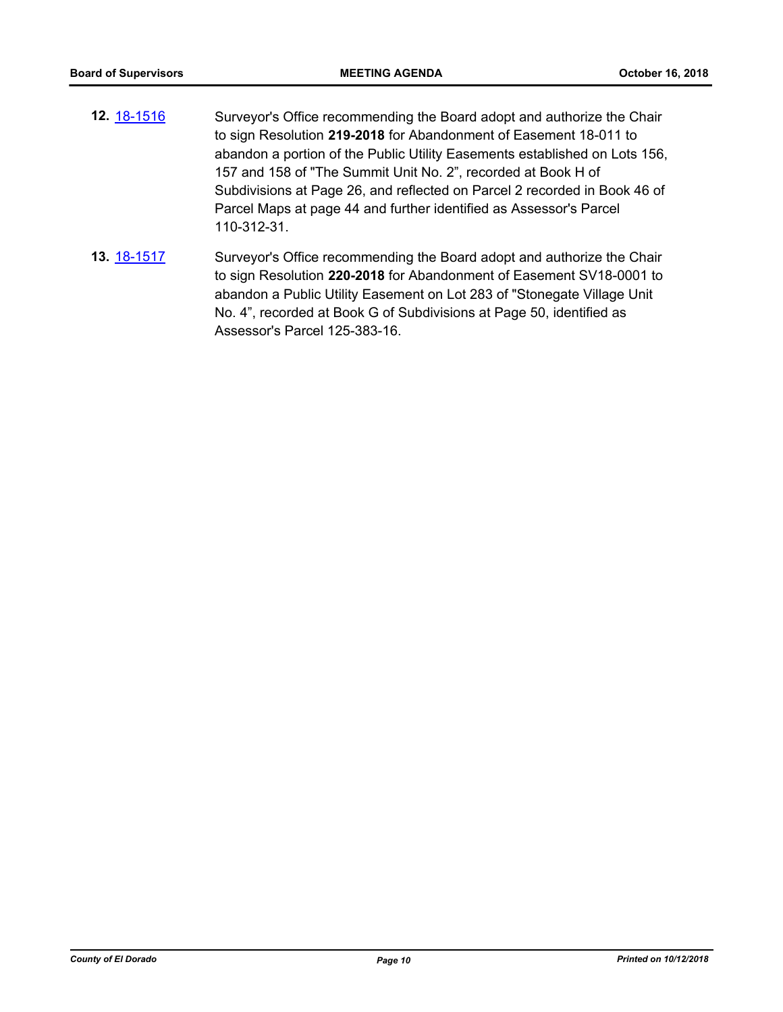- **12.** [18-1516](http://eldorado.legistar.com/gateway.aspx?m=l&id=/matter.aspx?key=24867) Surveyor's Office recommending the Board adopt and authorize the Chair to sign Resolution **219-2018** for Abandonment of Easement 18-011 to abandon a portion of the Public Utility Easements established on Lots 156, 157 and 158 of "The Summit Unit No. 2", recorded at Book H of Subdivisions at Page 26, and reflected on Parcel 2 recorded in Book 46 of Parcel Maps at page 44 and further identified as Assessor's Parcel 110-312-31.
- **13.** [18-1517](http://eldorado.legistar.com/gateway.aspx?m=l&id=/matter.aspx?key=24868) Surveyor's Office recommending the Board adopt and authorize the Chair to sign Resolution **220-2018** for Abandonment of Easement SV18-0001 to abandon a Public Utility Easement on Lot 283 of "Stonegate Village Unit No. 4", recorded at Book G of Subdivisions at Page 50, identified as Assessor's Parcel 125-383-16.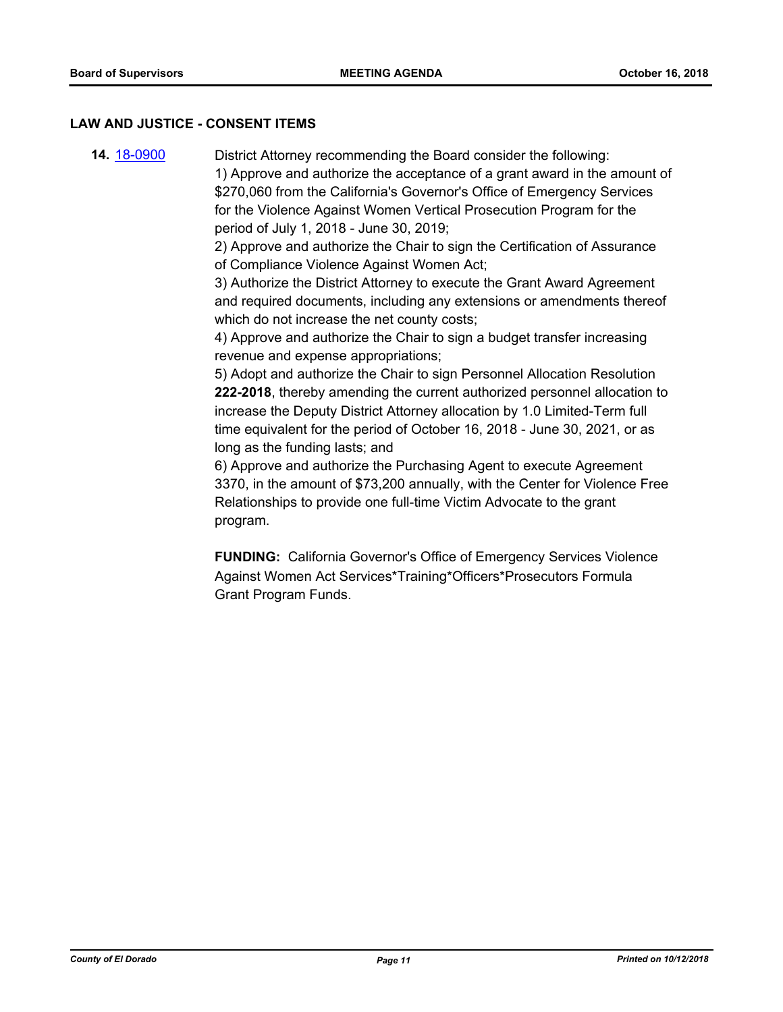#### **LAW AND JUSTICE - CONSENT ITEMS**

**14.** [18-0900](http://eldorado.legistar.com/gateway.aspx?m=l&id=/matter.aspx?key=24248) District Attorney recommending the Board consider the following: 1) Approve and authorize the acceptance of a grant award in the amount of \$270,060 from the California's Governor's Office of Emergency Services for the Violence Against Women Vertical Prosecution Program for the period of July 1, 2018 - June 30, 2019; 2) Approve and authorize the Chair to sign the Certification of Assurance of Compliance Violence Against Women Act; 3) Authorize the District Attorney to execute the Grant Award Agreement and required documents, including any extensions or amendments thereof which do not increase the net county costs; 4) Approve and authorize the Chair to sign a budget transfer increasing revenue and expense appropriations;

5) Adopt and authorize the Chair to sign Personnel Allocation Resolution **222-2018**, thereby amending the current authorized personnel allocation to increase the Deputy District Attorney allocation by 1.0 Limited-Term full time equivalent for the period of October 16, 2018 - June 30, 2021, or as long as the funding lasts; and

6) Approve and authorize the Purchasing Agent to execute Agreement 3370, in the amount of \$73,200 annually, with the Center for Violence Free Relationships to provide one full-time Victim Advocate to the grant program.

**FUNDING:** California Governor's Office of Emergency Services Violence Against Women Act Services\*Training\*Officers\*Prosecutors Formula Grant Program Funds.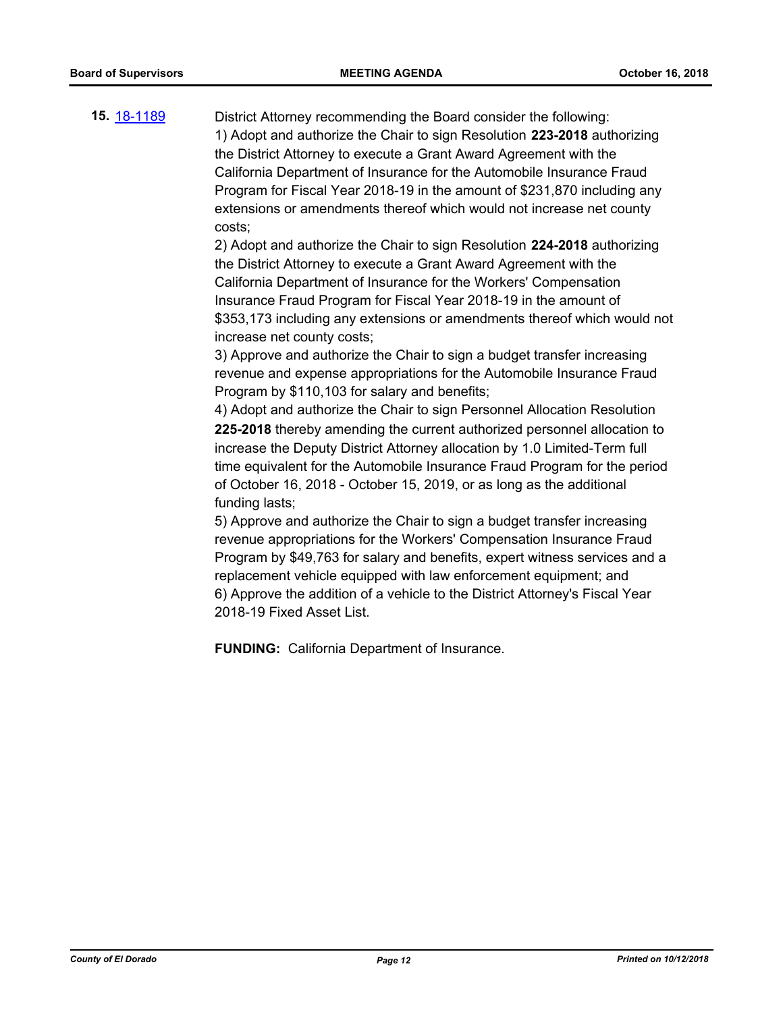**15.** [18-1189](http://eldorado.legistar.com/gateway.aspx?m=l&id=/matter.aspx?key=24539) District Attorney recommending the Board consider the following: 1) Adopt and authorize the Chair to sign Resolution **223-2018** authorizing the District Attorney to execute a Grant Award Agreement with the California Department of Insurance for the Automobile Insurance Fraud Program for Fiscal Year 2018-19 in the amount of \$231,870 including any extensions or amendments thereof which would not increase net county costs;

> 2) Adopt and authorize the Chair to sign Resolution **224-2018** authorizing the District Attorney to execute a Grant Award Agreement with the California Department of Insurance for the Workers' Compensation Insurance Fraud Program for Fiscal Year 2018-19 in the amount of \$353,173 including any extensions or amendments thereof which would not increase net county costs;

3) Approve and authorize the Chair to sign a budget transfer increasing revenue and expense appropriations for the Automobile Insurance Fraud Program by \$110,103 for salary and benefits;

4) Adopt and authorize the Chair to sign Personnel Allocation Resolution **225-2018** thereby amending the current authorized personnel allocation to increase the Deputy District Attorney allocation by 1.0 Limited-Term full time equivalent for the Automobile Insurance Fraud Program for the period of October 16, 2018 - October 15, 2019, or as long as the additional funding lasts;

5) Approve and authorize the Chair to sign a budget transfer increasing revenue appropriations for the Workers' Compensation Insurance Fraud Program by \$49,763 for salary and benefits, expert witness services and a replacement vehicle equipped with law enforcement equipment; and 6) Approve the addition of a vehicle to the District Attorney's Fiscal Year 2018-19 Fixed Asset List.

**FUNDING:** California Department of Insurance.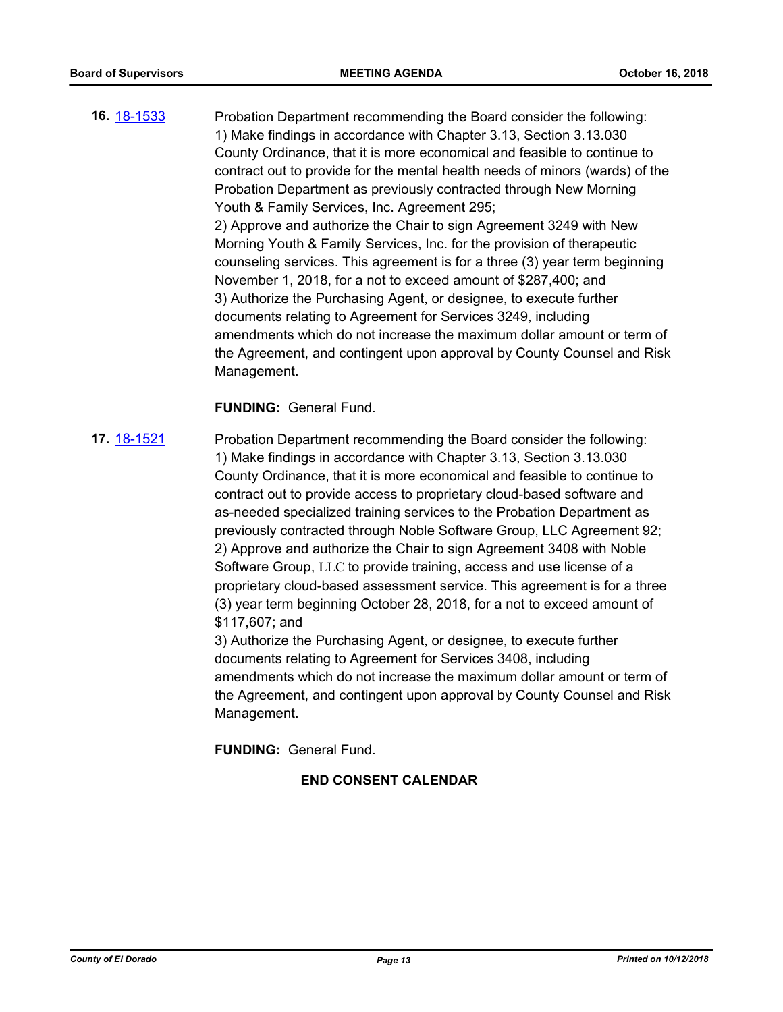**16.** [18-1533](http://eldorado.legistar.com/gateway.aspx?m=l&id=/matter.aspx?key=24884) Probation Department recommending the Board consider the following: 1) Make findings in accordance with Chapter 3.13, Section 3.13.030 County Ordinance, that it is more economical and feasible to continue to contract out to provide for the mental health needs of minors (wards) of the Probation Department as previously contracted through New Morning Youth & Family Services, Inc. Agreement 295; 2) Approve and authorize the Chair to sign Agreement 3249 with New Morning Youth & Family Services, Inc. for the provision of therapeutic counseling services. This agreement is for a three (3) year term beginning November 1, 2018, for a not to exceed amount of \$287,400; and 3) Authorize the Purchasing Agent, or designee, to execute further documents relating to Agreement for Services 3249, including amendments which do not increase the maximum dollar amount or term of the Agreement, and contingent upon approval by County Counsel and Risk Management.

### **FUNDING:** General Fund.

**17.** [18-1521](http://eldorado.legistar.com/gateway.aspx?m=l&id=/matter.aspx?key=24872) Probation Department recommending the Board consider the following: 1) Make findings in accordance with Chapter 3.13, Section 3.13.030 County Ordinance, that it is more economical and feasible to continue to contract out to provide access to proprietary cloud-based software and as-needed specialized training services to the Probation Department as previously contracted through Noble Software Group, LLC Agreement 92; 2) Approve and authorize the Chair to sign Agreement 3408 with Noble Software Group, LLC to provide training, access and use license of a proprietary cloud-based assessment service. This agreement is for a three (3) year term beginning October 28, 2018, for a not to exceed amount of \$117,607; and

3) Authorize the Purchasing Agent, or designee, to execute further documents relating to Agreement for Services 3408, including amendments which do not increase the maximum dollar amount or term of the Agreement, and contingent upon approval by County Counsel and Risk Management.

**FUNDING:** General Fund.

# **END CONSENT CALENDAR**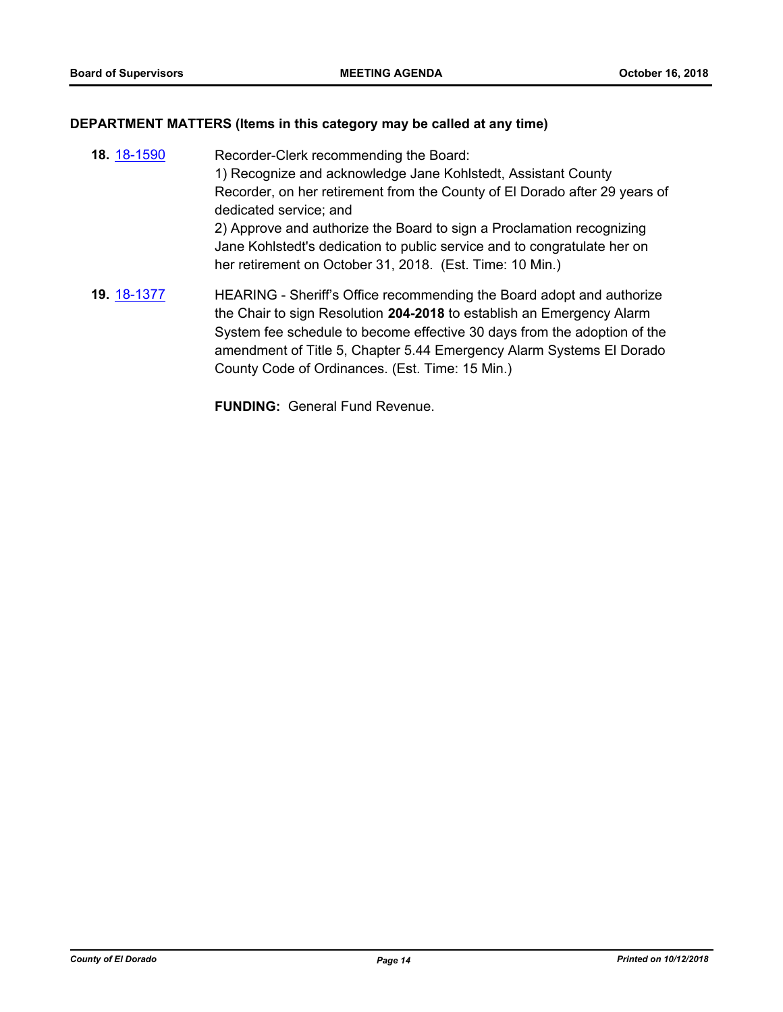#### **DEPARTMENT MATTERS (Items in this category may be called at any time)**

**18.** [18-1590](http://eldorado.legistar.com/gateway.aspx?m=l&id=/matter.aspx?key=24941) Recorder-Clerk recommending the Board: 1) Recognize and acknowledge Jane Kohlstedt, Assistant County Recorder, on her retirement from the County of El Dorado after 29 years of dedicated service; and 2) Approve and authorize the Board to sign a Proclamation recognizing Jane Kohlstedt's dedication to public service and to congratulate her on her retirement on October 31, 2018. (Est. Time: 10 Min.) **19.** [18-1377](http://eldorado.legistar.com/gateway.aspx?m=l&id=/matter.aspx?key=24729) HEARING - Sheriff's Office recommending the Board adopt and authorize the Chair to sign Resolution **204-2018** to establish an Emergency Alarm System fee schedule to become effective 30 days from the adoption of the amendment of Title 5, Chapter 5.44 Emergency Alarm Systems El Dorado

County Code of Ordinances. (Est. Time: 15 Min.)

**FUNDING:** General Fund Revenue.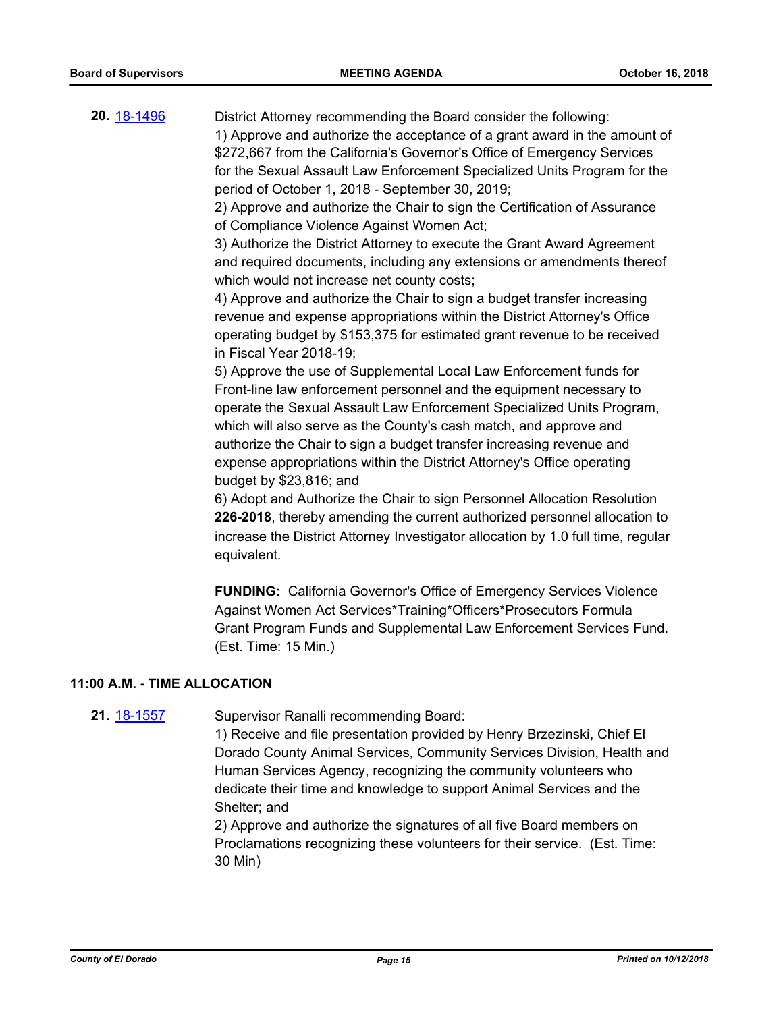**20.** [18-1496](http://eldorado.legistar.com/gateway.aspx?m=l&id=/matter.aspx?key=24847) District Attorney recommending the Board consider the following: 1) Approve and authorize the acceptance of a grant award in the amount of \$272,667 from the California's Governor's Office of Emergency Services for the Sexual Assault Law Enforcement Specialized Units Program for the period of October 1, 2018 - September 30, 2019;

> 2) Approve and authorize the Chair to sign the Certification of Assurance of Compliance Violence Against Women Act;

3) Authorize the District Attorney to execute the Grant Award Agreement and required documents, including any extensions or amendments thereof which would not increase net county costs;

4) Approve and authorize the Chair to sign a budget transfer increasing revenue and expense appropriations within the District Attorney's Office operating budget by \$153,375 for estimated grant revenue to be received in Fiscal Year 2018-19;

5) Approve the use of Supplemental Local Law Enforcement funds for Front-line law enforcement personnel and the equipment necessary to operate the Sexual Assault Law Enforcement Specialized Units Program, which will also serve as the County's cash match, and approve and authorize the Chair to sign a budget transfer increasing revenue and expense appropriations within the District Attorney's Office operating budget by \$23,816; and

6) Adopt and Authorize the Chair to sign Personnel Allocation Resolution **226-2018**, thereby amending the current authorized personnel allocation to increase the District Attorney Investigator allocation by 1.0 full time, regular equivalent.

**FUNDING:** California Governor's Office of Emergency Services Violence Against Women Act Services\*Training\*Officers\*Prosecutors Formula Grant Program Funds and Supplemental Law Enforcement Services Fund. (Est. Time: 15 Min.)

#### **11:00 A.M. - TIME ALLOCATION**

**21.** [18-1557](http://eldorado.legistar.com/gateway.aspx?m=l&id=/matter.aspx?key=24908) Supervisor Ranalli recommending Board:

1) Receive and file presentation provided by Henry Brzezinski, Chief El Dorado County Animal Services, Community Services Division, Health and Human Services Agency, recognizing the community volunteers who dedicate their time and knowledge to support Animal Services and the Shelter; and

2) Approve and authorize the signatures of all five Board members on Proclamations recognizing these volunteers for their service. (Est. Time: 30 Min)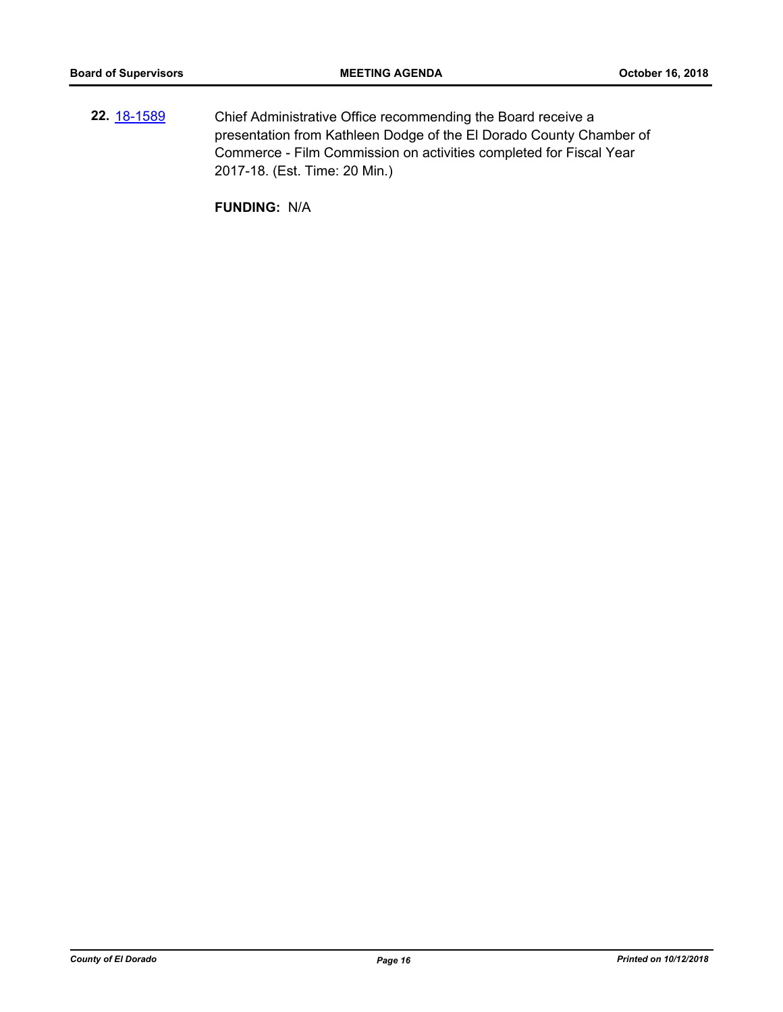**22.** [18-1589](http://eldorado.legistar.com/gateway.aspx?m=l&id=/matter.aspx?key=24940) Chief Administrative Office recommending the Board receive a presentation from Kathleen Dodge of the El Dorado County Chamber of Commerce - Film Commission on activities completed for Fiscal Year 2017-18. (Est. Time: 20 Min.)

**FUNDING:** N/A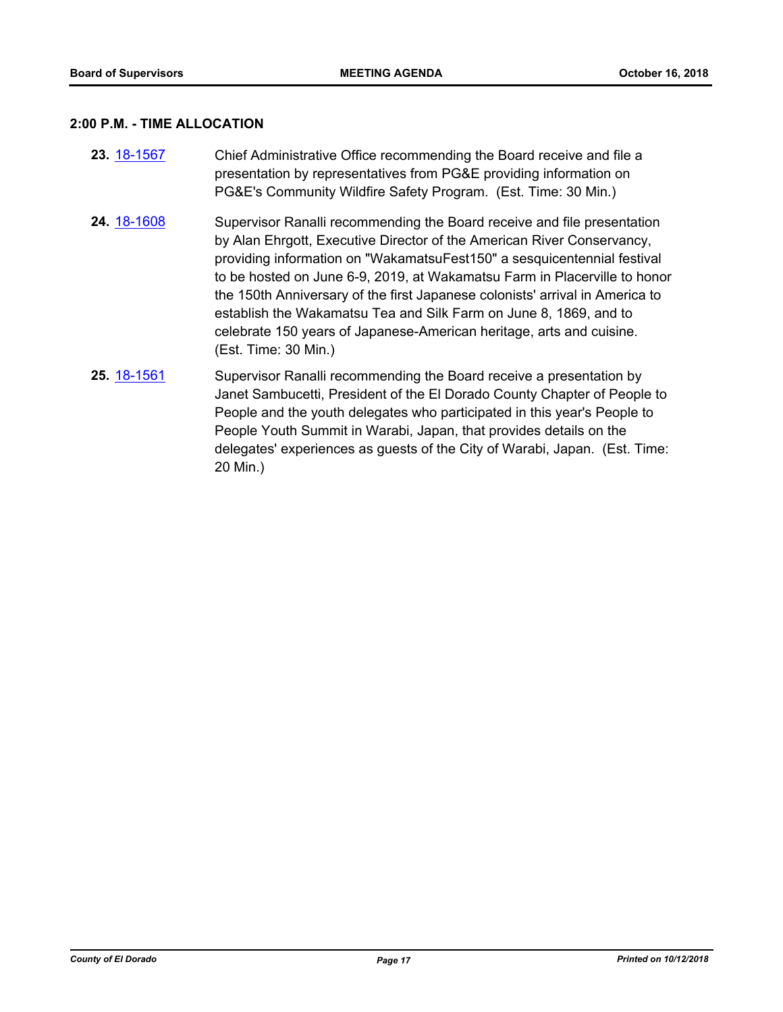#### **2:00 P.M. - TIME ALLOCATION**

- **23.** [18-1567](http://eldorado.legistar.com/gateway.aspx?m=l&id=/matter.aspx?key=24918) Chief Administrative Office recommending the Board receive and file a presentation by representatives from PG&E providing information on PG&E's Community Wildfire Safety Program. (Est. Time: 30 Min.)
- **24.** [18-1608](http://eldorado.legistar.com/gateway.aspx?m=l&id=/matter.aspx?key=24959) Supervisor Ranalli recommending the Board receive and file presentation by Alan Ehrgott, Executive Director of the American River Conservancy, providing information on "WakamatsuFest150" a sesquicentennial festival to be hosted on June 6-9, 2019, at Wakamatsu Farm in Placerville to honor the 150th Anniversary of the first Japanese colonists' arrival in America to establish the Wakamatsu Tea and Silk Farm on June 8, 1869, and to celebrate 150 years of Japanese-American heritage, arts and cuisine. (Est. Time: 30 Min.)
- **25.** [18-1561](http://eldorado.legistar.com/gateway.aspx?m=l&id=/matter.aspx?key=24912) Supervisor Ranalli recommending the Board receive a presentation by Janet Sambucetti, President of the El Dorado County Chapter of People to People and the youth delegates who participated in this year's People to People Youth Summit in Warabi, Japan, that provides details on the delegates' experiences as guests of the City of Warabi, Japan. (Est. Time: 20 Min.)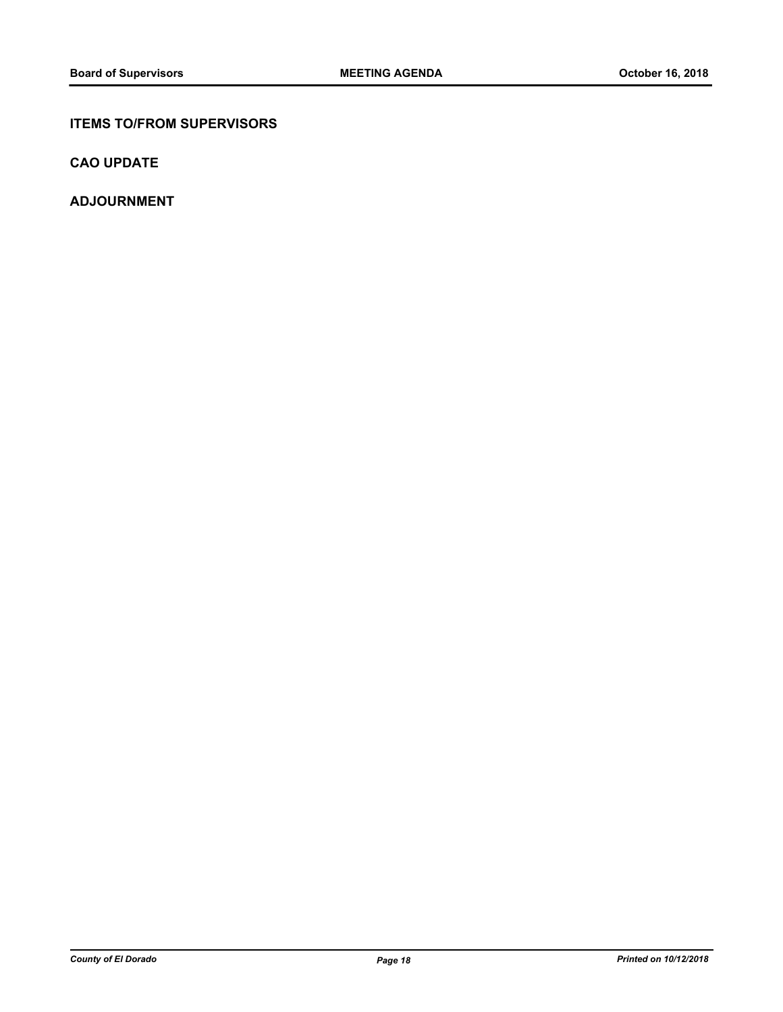### **ITEMS TO/FROM SUPERVISORS**

**CAO UPDATE**

**ADJOURNMENT**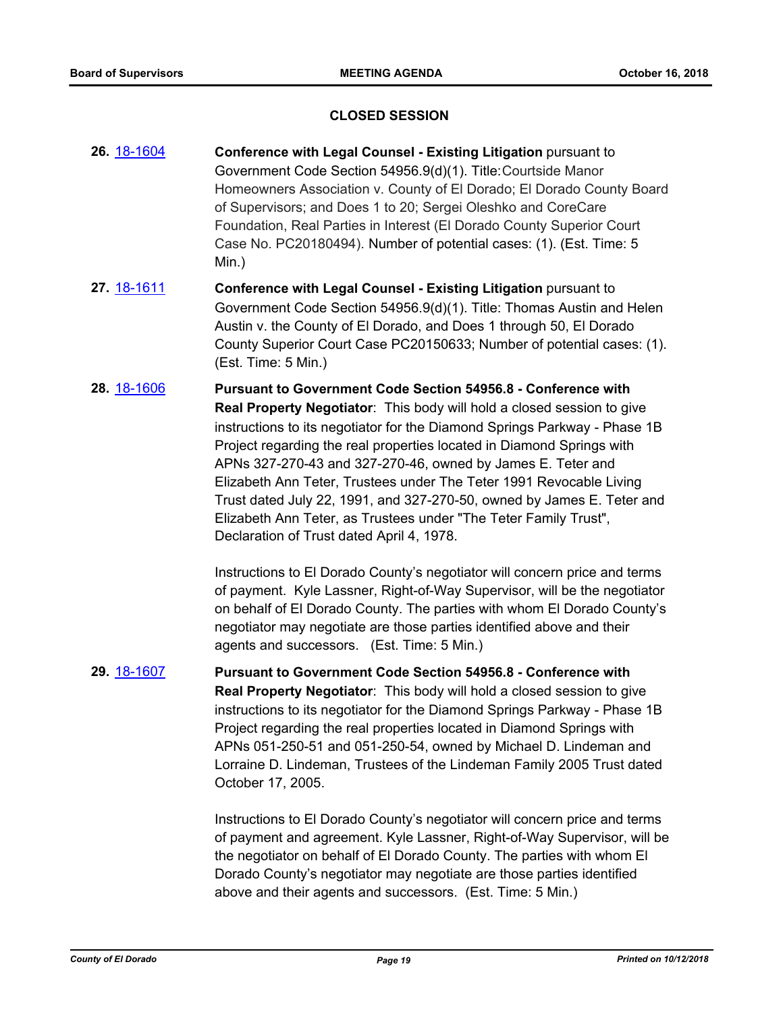#### **CLOSED SESSION**

- **26.** [18-1604](http://eldorado.legistar.com/gateway.aspx?m=l&id=/matter.aspx?key=24955) **Conference with Legal Counsel - Existing Litigation** pursuant to Government Code Section 54956.9(d)(1). Title:Courtside Manor Homeowners Association v. County of El Dorado; El Dorado County Board of Supervisors; and Does 1 to 20; Sergei Oleshko and CoreCare Foundation, Real Parties in Interest (El Dorado County Superior Court Case No. PC20180494). Number of potential cases: (1). (Est. Time: 5 Min.)
- **27.** [18-1611](http://eldorado.legistar.com/gateway.aspx?m=l&id=/matter.aspx?key=24962) **Conference with Legal Counsel - Existing Litigation** pursuant to Government Code Section 54956.9(d)(1). Title: Thomas Austin and Helen Austin v. the County of El Dorado, and Does 1 through 50, El Dorado County Superior Court Case PC20150633; Number of potential cases: (1). (Est. Time: 5 Min.)
- **28.** [18-1606](http://eldorado.legistar.com/gateway.aspx?m=l&id=/matter.aspx?key=24957) **Pursuant to Government Code Section 54956.8 Conference with Real Property Negotiator**: This body will hold a closed session to give instructions to its negotiator for the Diamond Springs Parkway - Phase 1B Project regarding the real properties located in Diamond Springs with APNs 327-270-43 and 327-270-46, owned by James E. Teter and Elizabeth Ann Teter, Trustees under The Teter 1991 Revocable Living Trust dated July 22, 1991, and 327-270-50, owned by James E. Teter and Elizabeth Ann Teter, as Trustees under "The Teter Family Trust", Declaration of Trust dated April 4, 1978.

Instructions to El Dorado County's negotiator will concern price and terms of payment. Kyle Lassner, Right-of-Way Supervisor, will be the negotiator on behalf of El Dorado County. The parties with whom El Dorado County's negotiator may negotiate are those parties identified above and their agents and successors. (Est. Time: 5 Min.)

**29.** [18-1607](http://eldorado.legistar.com/gateway.aspx?m=l&id=/matter.aspx?key=24958) **Pursuant to Government Code Section 54956.8 - Conference with Real Property Negotiator**: This body will hold a closed session to give instructions to its negotiator for the Diamond Springs Parkway - Phase 1B Project regarding the real properties located in Diamond Springs with APNs 051-250-51 and 051-250-54, owned by Michael D. Lindeman and Lorraine D. Lindeman, Trustees of the Lindeman Family 2005 Trust dated October 17, 2005.

> Instructions to El Dorado County's negotiator will concern price and terms of payment and agreement. Kyle Lassner, Right-of-Way Supervisor, will be the negotiator on behalf of El Dorado County. The parties with whom El Dorado County's negotiator may negotiate are those parties identified above and their agents and successors. (Est. Time: 5 Min.)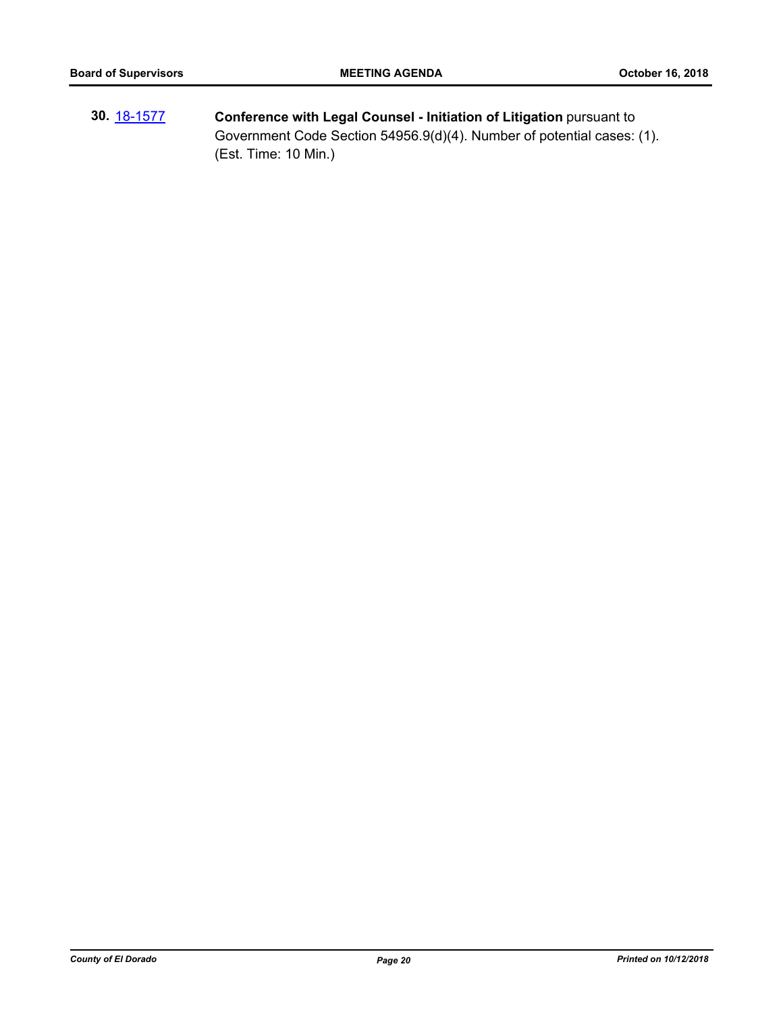**30.** [18-1577](http://eldorado.legistar.com/gateway.aspx?m=l&id=/matter.aspx?key=24928) **Conference with Legal Counsel - Initiation of Litigation** pursuant to Government Code Section 54956.9(d)(4). Number of potential cases: (1). (Est. Time: 10 Min.)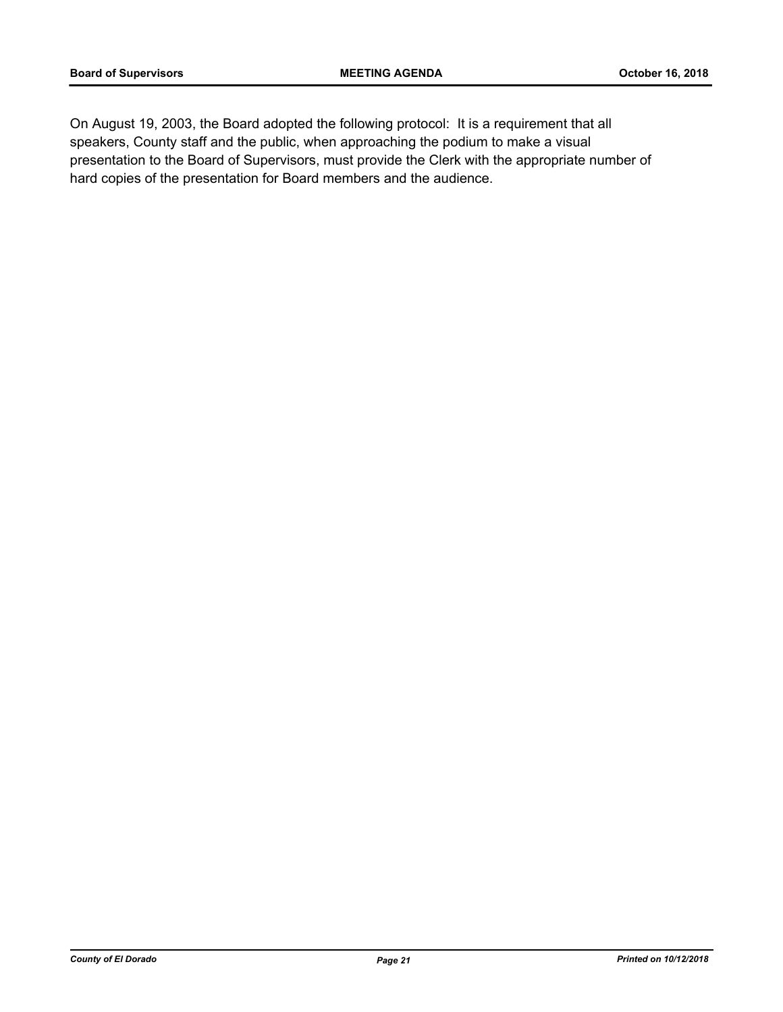On August 19, 2003, the Board adopted the following protocol: It is a requirement that all speakers, County staff and the public, when approaching the podium to make a visual presentation to the Board of Supervisors, must provide the Clerk with the appropriate number of hard copies of the presentation for Board members and the audience.